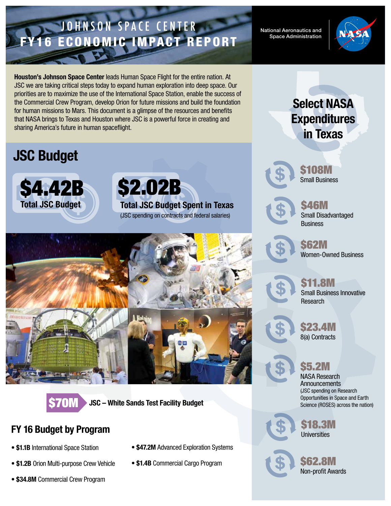## JOHNSON SPACE CENTER FY16 ECONOMIC IMPACT REPORT

National Aeronautics and Space Administration



Houston's Johnson Space Center leads Human Space Flight for the entire nation. At JSC we are taking critical steps today to expand human exploration into deep space. Our priorities are to maximize the use of the International Space Station, enable the success of the Commercial Crew Program, develop Orion for future missions and build the foundation for human missions to Mars. This document is a glimpse of the resources and benefits that NASA brings to Texas and Houston where JSC is a powerful force in creating and sharing America's future in human spaceflight.

# JSC Budget



\$2.02B Total JSC Budget Spent in Texas (JSC spending on contracts and federal salaries)





**JSC – White Sands Test Facility Budget** 

#### FY 16 Budget by Program

- \$1.1B International Space Station
- \$1.2B Orion Multi-purpose Crew Vehicle
- \$34.8M Commercial Crew Program
- \$47.2M Advanced Exploration Systems
- \$1.4B Commercial Cargo Program



Select NASA

**Expenditures** 

\$108M Small Business



\$46M Small Disadvantaged **Business** 

\$62M Women-Owned Business



**1.8M** Small Business Innovative Research

\$23.4M

8(a) Contracts

#### \$5.2M

NASA Research **Announcements** (JSC spending on Research Opportunities in Space and Earth Science (ROSES) across the nation)



\$18.3M **Universities** 



\$62.8M Non-profit Awards